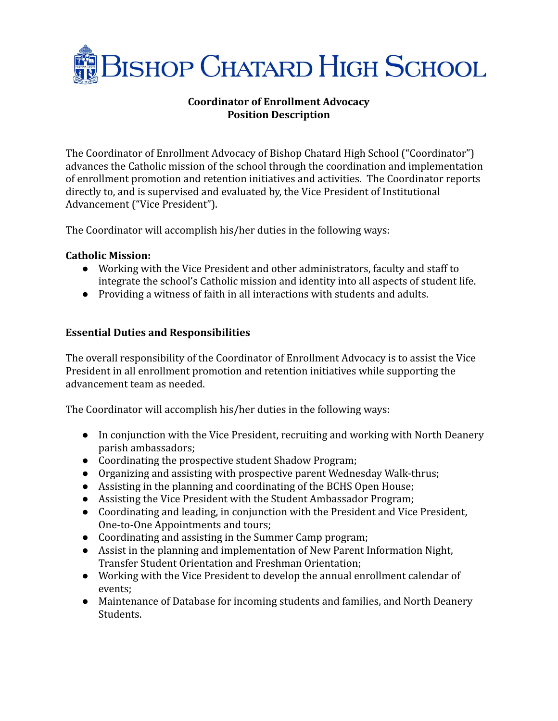

# **Coordinator of Enrollment Advocacy Position Description**

The Coordinator of Enrollment Advocacy of Bishop Chatard High School ("Coordinator") advances the Catholic mission of the school through the coordination and implementation of enrollment promotion and retention initiatives and activities. The Coordinator reports directly to, and is supervised and evaluated by, the Vice President of Institutional Advancement ("Vice President").

The Coordinator will accomplish his/her duties in the following ways:

#### **Catholic Mission:**

- Working with the Vice President and other administrators, faculty and staff to integrate the school's Catholic mission and identity into all aspects of student life.
- Providing a witness of faith in all interactions with students and adults.

# **Essential Duties and Responsibilities**

The overall responsibility of the Coordinator of Enrollment Advocacy is to assist the Vice President in all enrollment promotion and retention initiatives while supporting the advancement team as needed.

The Coordinator will accomplish his/her duties in the following ways:

- In conjunction with the Vice President, recruiting and working with North Deanery parish ambassadors;
- Coordinating the prospective student Shadow Program;
- Organizing and assisting with prospective parent Wednesday Walk-thrus;
- Assisting in the planning and coordinating of the BCHS Open House;
- Assisting the Vice President with the Student Ambassador Program;
- Coordinating and leading, in conjunction with the President and Vice President, One-to-One Appointments and tours;
- Coordinating and assisting in the Summer Camp program;
- Assist in the planning and implementation of New Parent Information Night, Transfer Student Orientation and Freshman Orientation;
- Working with the Vice President to develop the annual enrollment calendar of events;
- Maintenance of Database for incoming students and families, and North Deanery Students.